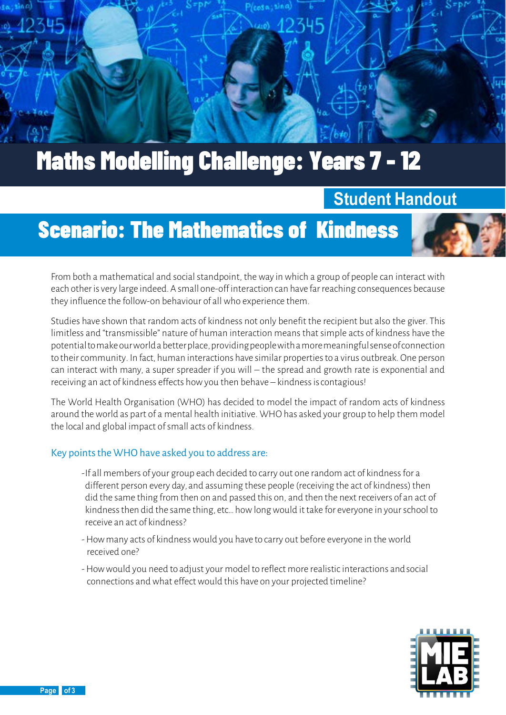

# Maths Modelling Challenge: Years 7 - 12

### **Student Handout**

## Scenario: The Mathematics of Kindness

From both a mathematical and social standpoint, the way in which a group of people can interact with each other is very large indeed. A small one-offinteraction can have far reaching consequences because they influence the follow-on behaviour of all who experience them.

Studies have shown that random acts of kindness not only benefit the recipient but also the giver. This limitless and "transmissible" nature of human interaction means that simple acts of kindness have the potentialtomakeourworld a betterplace,providingpeoplewith a moremeaningfulsenseofconnection to their community. In fact, human interactions have similar properties to a virus outbreak. One person can interact with many, a super spreader if you will – the spread and growth rate is exponential and receiving an act of kindness effects how you then behave – kindness iscontagious!

The World Health Organisation (WHO) has decided to model the impact of random acts of kindness around the world as part of a mental health initiative. WHO has asked your group to help them model the local and global impact of small acts of kindness.

#### Key points the WHO have asked you to address are:

- -If all members of your group each decided to carry out one random act of kindness for a different person every day, and assuming these people (receiving the act of kindness) then did the same thing from then on and passed this on, and then the next receivers of an act of kindness then did the same thing, etc... how long would it take for everyone in your school to receive an act of kindness?
- -How many acts of kindness would you have to carry out before everyone in the world received one?
- -How would you need to adjust your model to reflect more realistic interactions andsocial connections and what effect would this have on your projected timeline?



**Page 1 of 3**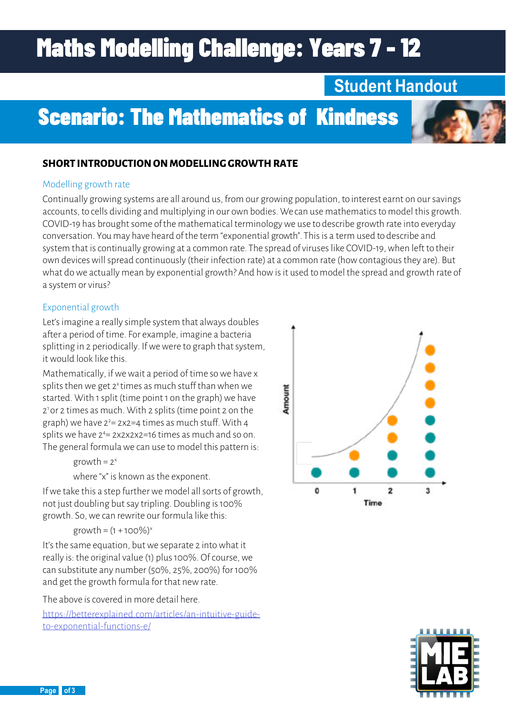# Maths Modelling Challenge: Years 7 - 12

## **Student Handout**

## Scenario: The Mathematics of Kindness

#### **SHORT INTRODUCTION ON MODELLING GROWTH RATE**

#### Modelling growth rate

Continually growing systems are all around us, from our growing population, to interest earnt on our savings accounts, to cells dividing and multiplying in our own bodies. We can use mathematics to model this growth. COVID-19 has brought some of the mathematical terminology we use to describe growth rate into everyday conversation. You may have heard of the term "exponential growth". This is a term used to describe and system that is continually growing at a common rate. The spread of viruses like COVID-19, when left to their own devices will spread continuously (their infection rate) at a common rate (how contagious they are). But what do we actually mean by exponential growth? And how is it used to model the spread and growth rate of a system or virus?

#### Exponential growth

Let's imagine a really simple system that always doubles after a period of time. For example, imagine a bacteria splitting in 2 periodically. If we were to graph that system, it would look like this.

Mathematically, if we wait a period of time so we have x splits then we get  $2^x$  times as much stuff than when we started. With 1 split (time point 1 on the graph) we have 21 or 2 times as much. With 2 splits (time point 2 on the graph) we have  $2^{2}$ = 2x2=4 times as much stuff. With 4 splits we have 24 = 2x2x2x2=16 times as much and so on. The general formula we can use to model this pattern is:

#### $growth = 2<sup>x</sup>$

where "x" is known as the exponent.

If we take this a step further we model all sorts of growth, not just doubling but say tripling. Doubling is 100% growth. So, we can rewrite our formula like this:

$$
growth = (1 + 100\%)^x
$$

It's the same equation, but we separate 2 into what it really is: the original value (1) plus 100%. Of course, we can substitute any number (50%, 25%, 200%) for 100% and get the growth formula for that new rate.

The above is covered in more detail here.

[https://betterexplained.com/articles/an-intuitive-guide](https://betterexplained.com/articles/an-intuitive-guide-to-exponential-functions-e/)[to-exponential-functions-e/](https://betterexplained.com/articles/an-intuitive-guide-to-exponential-functions-e/)